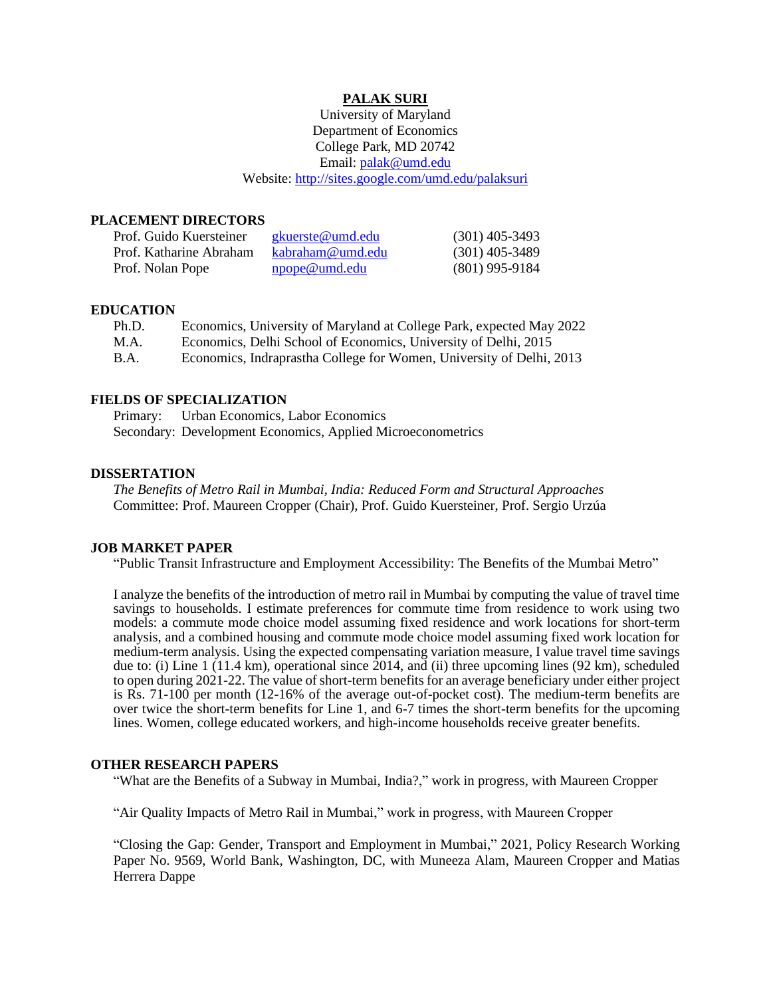### **PALAK SURI**

University of Maryland Department of Economics College Park, MD 20742 Email: [palak@umd.edu](about:blank) Website:<http://sites.google.com/umd.edu/palaksuri>

#### **PLACEMENT DIRECTORS**

| Prof. Guido Kuersteiner | gkuerste@umd.edu | $(301)$ 405-3493 |
|-------------------------|------------------|------------------|
| Prof. Katharine Abraham | kabraham@umd.edu | $(301)$ 405-3489 |
| Prof. Nolan Pope        | npope@umd.edu    | $(801)$ 995-9184 |

#### **EDUCATION**

| Ph.D. | Economics, University of Maryland at College Park, expected May 2022 |
|-------|----------------------------------------------------------------------|
| M.A.  | Economics, Delhi School of Economics, University of Delhi, 2015      |
| B.A.  | Economics, Indraprastha College for Women, University of Delhi, 2013 |

#### **FIELDS OF SPECIALIZATION**

Primary: Urban Economics, Labor Economics Secondary: Development Economics, Applied Microeconometrics

#### **DISSERTATION**

*The Benefits of Metro Rail in Mumbai, India: Reduced Form and Structural Approaches* Committee: Prof. Maureen Cropper (Chair), Prof. Guido Kuersteiner, Prof. Sergio Urzúa

#### **JOB MARKET PAPER**

"Public Transit Infrastructure and Employment Accessibility: The Benefits of the Mumbai Metro"

I analyze the benefits of the introduction of metro rail in Mumbai by computing the value of travel time savings to households. I estimate preferences for commute time from residence to work using two models: a commute mode choice model assuming fixed residence and work locations for short-term analysis, and a combined housing and commute mode choice model assuming fixed work location for medium-term analysis. Using the expected compensating variation measure, I value travel time savings due to: (i) Line 1 (11.4 km), operational since 2014, and (ii) three upcoming lines (92 km), scheduled to open during 2021-22. The value of short-term benefits for an average beneficiary under either project is Rs. 71-100 per month (12-16% of the average out-of-pocket cost). The medium-term benefits are over twice the short-term benefits for Line 1, and 6-7 times the short-term benefits for the upcoming lines. Women, college educated workers, and high-income households receive greater benefits.

#### **OTHER RESEARCH PAPERS**

"What are the Benefits of a Subway in Mumbai, India?," work in progress, with Maureen Cropper

"Air Quality Impacts of Metro Rail in Mumbai," work in progress, with Maureen Cropper

"Closing the Gap: Gender, Transport and Employment in Mumbai," 2021, Policy Research Working Paper No. 9569, World Bank, Washington, DC, with Muneeza Alam, Maureen Cropper and Matias Herrera Dappe